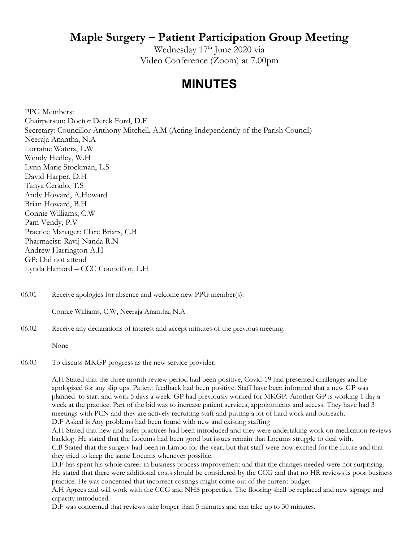### **Maple Surgery – Patient Participation Group Meeting**

Wednesday 17<sup>th</sup> June 2020 via Video Conference (Zoom) at 7.00pm

## **MINUTES**

PPG Members: Chairperson: Doctor Derek Ford, D.F Secretary: Councillor Anthony Mitchell, A.M (Acting Independently of the Parish Council) Neeraja Anantha, N.A Lorraine Waters, L.W Wendy Hedley, W.H Lynn Marie Stockman, L.S David Harper, D.H Tanya Cerado, T.S Andy Howard, A.Howard Brian Howard, B.H Connie Williams, C.W Pam Vendy, P.V Practice Manager: Clare Briars, C.B Pharmacist: Ravij Nanda R.N Andrew Harrington A.H GP: Did not attend Lynda Harford – CCC Councillor, L.H

06.01 Receive apologies for absence and welcome new PPG member(s).

Connie Williams, C.W, Neeraja Anantha, N.A

#### 06.02 Receive any declarations of interest and accept minutes of the previous meeting.

None

06.03 To discuss MKGP progress as the new service provider.

> A.H Stated that the three month review period had been positive, Covid-19 had presented challenges and he apologised for any slip ups. Patient feedback had been positive. Staff have been informed that a new GP was planned to start and work 5 days a week. GP had previously worked for MKGP. Another GP is working 1 day a week at the practice. Part of the bid was to increase patient services, appointments and access. They have had 3 meetings with PCN and they are actively recruiting staff and putting a lot of hard work and outreach. D.F Asked is Any problems had been found with new and existing staffing

A.H Stated that new and safer practices had been introduced and they were undertaking work on medication reviews backlog. He stated that the Locums had been good but issues remain that Locums struggle to deal with. C.B Stated that the surgery had been in Limbo for the year, but that staff were now excited for the future and that

they tried to keep the same Locums whenever possible.

D.F has spent his whole career in business process improvement and that the changes needed were not surprising. He stated that there were additional costs should be considered by the CCG and that no HR reviews is poor business practice. He was concerned that incorrect costings might come out of the current budget.

A.H Agrees and will work with the CCG and NHS properties. The flooring shall be replaced and new signage and capacity introduced.

D.F was concerned that reviews take longer than 5 minutes and can take up to 30 minutes.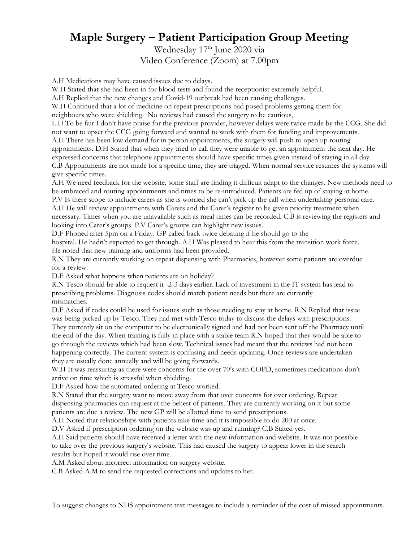# **Maple Surgery – Patient Participation Group Meeting**

Wednesday 17<sup>th</sup> June 2020 via Video Conference (Zoom) at 7.00pm

A.H Medications may have caused issues due to delays.

W.H Stated that she had been in for blood tests and found the receptionist extremely helpful.

A.H Replied that the new changes and Covid-19 outbreak had been causing challenges.

W.H Continued that a lot of medicine on repeat prescriptions had posed problems getting them for

neighbours who were shielding. No reviews had caused the surgery to be cautious,.

L.H To be fair I don't have praise for the previous provider, however delays were twice made by the CCG. She did not want to upset the CCG going forward and wanted to work with them for funding and improvements.

A.H There has been low demand for in person appointments, the surgery will push to open up routing appointments. D.H Stated that when they tried to call they were unable to get an appointment the next day. He expressed concerns that telephone appointments should have specific times given instead of staying in all day. C.B Appointments are not made for a specific time, they are triaged. When normal service resumes the systems will give specific times.

A.H We need feedback for the website, some staff are finding it difficult adapt to the changes. New methods need to be embraced and routing appointments and times to be re-introduced. Patients are fed up of staying at home.

P.V Is there scope to include carers as she is worried she can't pick up the call when undertaking personal care. A.H He will review appointments with Carers and the Carer's register to be given priority treatment when necessary. Times when you are unavailable such as meal times can be recorded. C.B is reviewing the registers and

looking into Carer's groups. P.V Carer's groups can highlight new issues.

D.F Phoned after 5pm on a Friday. GP called back twice debating if he should go to the

hospital. He hadn't expected to get through. A.H Was pleased to hear this from the transition work force. He noted that new training and uniforms had been provided.

R.N They are currently working on repeat dispensing with Pharmacies, however some patients are overdue for a review.

D.F Asked what happens when patients are on holiday?

R.N Tesco should be able to request it -2-3 days earlier. Lack of investment in the IT system has lead to prescribing problems. Diagnosis codes should match patient needs but there are currently mismatches.

D.F Asked if codes could be used for issues such as those needing to stay at home. R.N Replied that issue was being picked up by Tesco. They had met with Tesco today to discuss the delays with prescriptions. They currently sit on the computer to be electronically signed and had not been sent off the Pharmacy until the end of the day. When training is fully in place with a stable team R.N hoped that they would be able to go through the reviews which had been slow. Technical issues had meant that the reviews had not been happening correctly. The current system is confusing and needs updating. Once reviews are undertaken they are usually done annually and will be going forwards.

W.H It was reassuring as there were concerns for the over 70's with COPD, sometimes medications don't arrive on time which is stressful when shielding.

D.F Asked how the automated ordering at Tesco worked.

R.N Stated that the surgery want to move away from that over concerns for over ordering. Repeat dispensing pharmacies can request at the behest of patients. They are currently working on it but some patients are due a review. The new GP will be allotted time to send prescriptions.

A.H Noted that relationships with patients take time and it is impossible to do 200 at once.

D.V Asked if prescription ordering on the website was up and running? C.B Stated yes.

A.H Said patients should have received a letter with the new information and website. It was not possible to take over the previous surgery's website. This had caused the surgery to appear lower in the search results but hoped it would rise over time.

A.M Asked about incorrect information on surgery website.

C.B Asked A.M to send the requested corrections and updates to her.